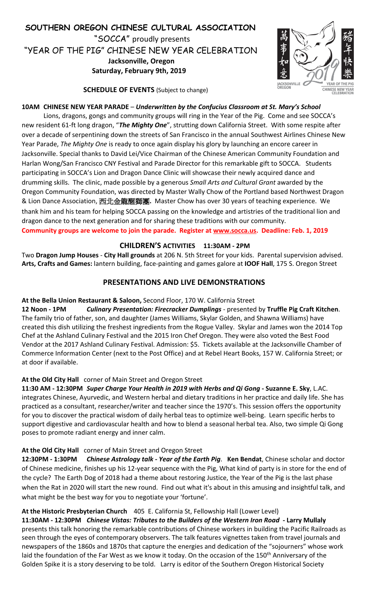



**SCHEDULE OF EVENTS** (Subject to change)

# **10AM CHINESE NEW YEAR PARADE** – *Underwritten by the Confucius Classroom at St. Mary's School*

Lions, dragons, gongs and community groups will ring in the Year of the Pig. Come and see SOCCA's new resident 61-ft long dragon, "*The Mighty One*", strutting down California Street. With some respite after over a decade of serpentining down the streets of San Francisco in the annual Southwest Airlines Chinese New Year Parade, *The Mighty One* is ready to once again display his glory by launching an encore career in Jacksonville. Special thanks to David Lei/Vice Chairman of the Chinese American Community Foundation and Harlan Wong/San Francisco CNY Festival and Parade Director for this remarkable gift to SOCCA. Students participating in SOCCA's Lion and Dragon Dance Clinic will showcase their newly acquired dance and drumming skills. The clinic, made possible by a generous *Small Arts and Cultural Grant* awarded by the Oregon Community Foundation, was directed by Master Wally Chow of the Portland based Northwest Dragon & Lion Dance Association, 西北金龍醒獅團**.** Master Chow has over 30 years of teaching experience. We thank him and his team for helping SOCCA passing on the knowledge and artistries of the traditional lion and dragon dance to the next generation and for sharing these traditions with our community. **Community groups are welcome to join the parade. Register at www.socca.us. Deadline: Feb. 1, 2019**

# **CHILDREN'S ACTIVITIES 11:30AM - 2PM**

Two **Dragon Jump Houses** - **City Hall grounds** at 206 N. 5th Street for your kids. Parental supervision advised. **Arts, Crafts and Games:** lantern building, face-painting and games galore at **IOOF Hall**, 175 S. Oregon Street

# **PRESENTATIONS AND LIVE DEMONSTRATIONS**

# **At the Bella Union Restaurant & Saloon,** Second Floor, 170 W. California Street

**12 Noon - 1PM** *Culinary Presentation: Firecracker Dumplings* - presented by **Truffle Pig Craft Kitchen**. The family trio of father, son, and daughter (James Williams, Skylar Golden, and Shawna Williams) have created this dish utilizing the freshest ingredients from the Rogue Valley. Skylar and James won the 2014 Top Chef at the Ashland Culinary Festival and the 2015 Iron Chef Oregon. They were also voted the Best Food Vendor at the 2017 Ashland Culinary Festival. Admission: \$5. Tickets available at the Jacksonville Chamber of Commerce Information Center (next to the Post Office) and at Rebel Heart Books, 157 W. California Street; or at door if available.

# **At the Old City Hall** corner of Main Street and Oregon Street

**11:30 AM - 12:30PM** *Super Charge Your Health in 2019 with Herbs and Qi Gong* **- Suzanne E. Sky**, L.AC. integrates Chinese, Ayurvedic, and Western herbal and dietary traditions in her practice and daily life. She has practiced as a consultant, researcher/writer and teacher since the 1970's. This session offers the opportunity for you to discover the practical wisdom of daily herbal teas to optimize well-being. Learn specific herbs to support digestive and cardiovascular health and how to blend a seasonal herbal tea. Also, two simple Qi Gong poses to promote radiant energy and inner calm.

# **At the Old City Hall** corner of Main Street and Oregon Street

**12:30PM - 1:30PM** *Chinese Astrology talk - Year of the Earth Pig*. **Ken Bendat**, Chinese scholar and doctor of Chinese medicine, finishes up his 12-year sequence with the Pig, What kind of party is in store for the end of the cycle? The Earth Dog of 2018 had a theme about restoring Justice, the Year of the Pig is the last phase when the Rat in 2020 will start the new round. Find out what it's about in this amusing and insightful talk, and what might be the best way for you to negotiate your 'fortune'.

# **At the Historic Presbyterian Church** 405 E. California St, Fellowship Hall (Lower Level)

**11:30AM - 12:30PM** *Chinese Vistas: Tributes to the Builders of the Western Iron Road* **- Larry Mullaly** presents this talk honoring the remarkable contributions of Chinese workers in building the Pacific Railroads as seen through the eyes of contemporary observers. The talk features vignettes taken from travel journals and newspapers of the 1860s and 1870s that capture the energies and dedication of the "sojourners" whose work laid the foundation of the Far West as we know it today. On the occasion of the 150<sup>th</sup> Anniversary of the Golden Spike it is a story deserving to be told. Larry is editor of the Southern Oregon Historical Society